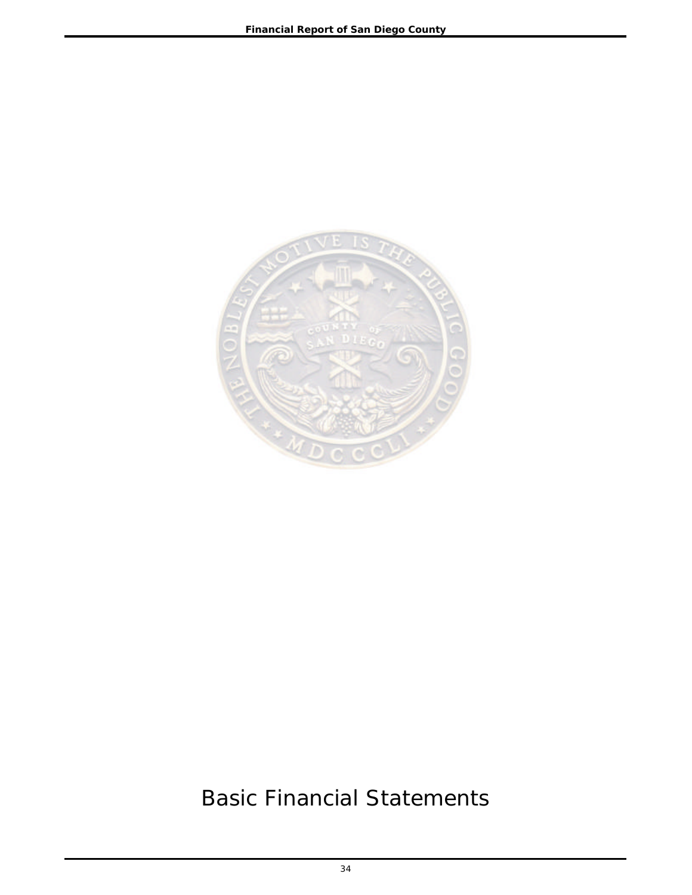

# Basic Financial Statements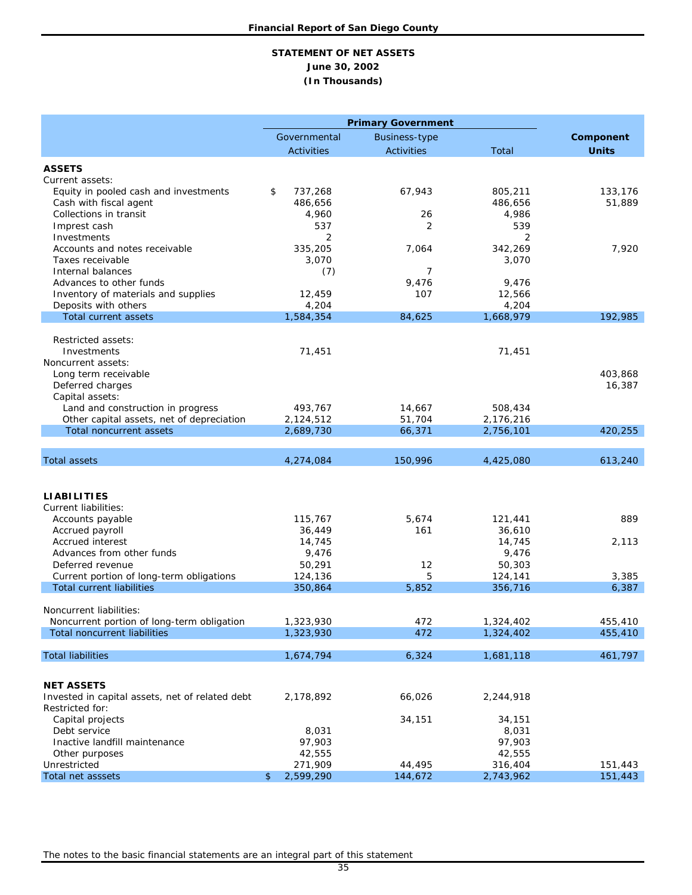### **STATEMENT OF NET ASSETS June 30, 2002 (In Thousands)**

|                                                                      |                        | <b>Primary Government</b> |                        |              |
|----------------------------------------------------------------------|------------------------|---------------------------|------------------------|--------------|
|                                                                      | Governmental           | <b>Business-type</b>      |                        | Component    |
|                                                                      | <b>Activities</b>      | <b>Activities</b>         | Total                  | <b>Units</b> |
| <b>ASSETS</b>                                                        |                        |                           |                        |              |
| Current assets:                                                      |                        |                           |                        |              |
| Equity in pooled cash and investments                                | \$<br>737,268          | 67,943                    | 805,211                | 133,176      |
| Cash with fiscal agent                                               | 486,656                |                           | 486,656                | 51,889       |
| Collections in transit                                               | 4,960                  | 26                        | 4,986                  |              |
| Imprest cash                                                         | 537                    | $\overline{2}$            | 539                    |              |
| Investments                                                          | 2                      |                           | 2                      |              |
| Accounts and notes receivable                                        | 335,205                | 7,064                     | 342,269                | 7,920        |
| Taxes receivable<br>Internal balances                                | 3,070                  | 7                         | 3,070                  |              |
| Advances to other funds                                              | (7)                    | 9,476                     | 9,476                  |              |
| Inventory of materials and supplies                                  | 12,459                 | 107                       | 12,566                 |              |
| Deposits with others                                                 | 4,204                  |                           | 4,204                  |              |
| Total current assets                                                 | 1,584,354              | 84,625                    | 1,668,979              | 192,985      |
|                                                                      |                        |                           |                        |              |
| Restricted assets:                                                   |                        |                           |                        |              |
| Investments                                                          | 71,451                 |                           | 71,451                 |              |
| Noncurrent assets:                                                   |                        |                           |                        |              |
| Long term receivable                                                 |                        |                           |                        | 403,868      |
| Deferred charges                                                     |                        |                           |                        | 16,387       |
| Capital assets:                                                      |                        |                           |                        |              |
| Land and construction in progress                                    | 493,767                | 14,667                    | 508,434                |              |
| Other capital assets, net of depreciation<br>Total noncurrent assets | 2,124,512<br>2,689,730 | 51,704<br>66,371          | 2,176,216<br>2,756,101 | 420,255      |
|                                                                      |                        |                           |                        |              |
| <b>Total assets</b>                                                  | 4,274,084              | 150,996                   | 4,425,080              | 613,240      |
|                                                                      |                        |                           |                        |              |
|                                                                      |                        |                           |                        |              |
| <b>LIABILITIES</b>                                                   |                        |                           |                        |              |
| Current liabilities:                                                 |                        |                           |                        |              |
| Accounts payable                                                     | 115,767                | 5,674                     | 121,441                | 889          |
| Accrued payroll                                                      | 36,449                 | 161                       | 36,610                 |              |
| Accrued interest                                                     | 14,745                 |                           | 14,745                 | 2,113        |
| Advances from other funds                                            | 9,476                  |                           | 9,476                  |              |
| Deferred revenue                                                     | 50,291                 | 12                        | 50,303                 |              |
| Current portion of long-term obligations                             | 124,136                | 5                         | 124,141                | 3,385        |
| <b>Total current liabilities</b>                                     | 350,864                | 5,852                     | 356,716                | 6,387        |
| Noncurrent liabilities:                                              |                        |                           |                        |              |
| Noncurrent portion of long-term obligation                           | 1,323,930              | 472                       | 1,324,402              | 455,410      |
| <b>Total noncurrent liabilities</b>                                  | 1,323,930              | 472                       | 1,324,402              | 455,410      |
|                                                                      |                        |                           |                        |              |
| <b>Total liabilities</b>                                             | 1,674,794              | 6,324                     | 1,681,118              | 461,797      |
|                                                                      |                        |                           |                        |              |
| <b>NET ASSETS</b>                                                    |                        |                           |                        |              |
| Invested in capital assets, net of related debt                      | 2,178,892              | 66,026                    | 2,244,918              |              |
| Restricted for:                                                      |                        |                           |                        |              |
| Capital projects                                                     |                        | 34,151                    | 34,151                 |              |
| Debt service                                                         | 8,031                  |                           | 8,031                  |              |
| Inactive landfill maintenance                                        | 97,903                 |                           | 97,903                 |              |
| Other purposes                                                       | 42,555                 |                           | 42,555                 |              |
| Unrestricted                                                         | 271,909                | 44,495                    | 316,404                | 151,443      |
| Total net asssets                                                    | \$<br>2,599,290        | 144,672                   | 2,743,962              | 151,443      |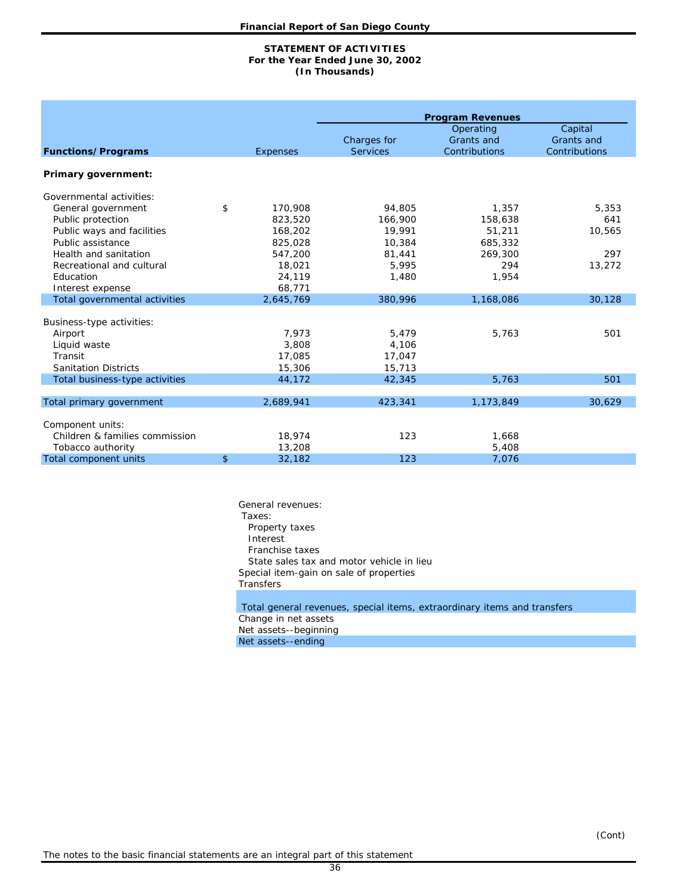#### **(In Thousands) STATEMENT OF ACTIVITIES For the Year Ended June 30, 2002**

|                                |                |                 |                 | <b>Program Revenues</b><br>Operating | Capital       |  |  |  |
|--------------------------------|----------------|-----------------|-----------------|--------------------------------------|---------------|--|--|--|
|                                |                |                 | Charges for     | Grants and                           | Grants and    |  |  |  |
| <b>Functions/Programs</b>      |                | <b>Expenses</b> | <b>Services</b> | Contributions                        | Contributions |  |  |  |
|                                |                |                 |                 |                                      |               |  |  |  |
| Primary government:            |                |                 |                 |                                      |               |  |  |  |
| Governmental activities:       |                |                 |                 |                                      |               |  |  |  |
| General government             | \$             | 170,908         | 94,805          | 1,357                                | 5,353         |  |  |  |
| Public protection              |                | 823,520         | 166,900         | 158,638                              | 641           |  |  |  |
| Public ways and facilities     |                | 168,202         | 19,991          | 51,211                               | 10,565        |  |  |  |
| Public assistance              |                | 825,028         | 10,384          | 685,332                              |               |  |  |  |
| Health and sanitation          |                | 547,200         | 81,441          | 269,300                              | 297           |  |  |  |
| Recreational and cultural      |                | 18,021          | 5,995           | 294                                  | 13,272        |  |  |  |
| Education                      |                | 24,119          | 1,480           | 1,954                                |               |  |  |  |
| Interest expense               |                | 68,771          |                 |                                      |               |  |  |  |
| Total governmental activities  |                | 2,645,769       | 380,996         | 1,168,086                            | 30,128        |  |  |  |
| Business-type activities:      |                |                 |                 |                                      |               |  |  |  |
| Airport                        |                | 7,973           | 5,479           | 5,763                                | 501           |  |  |  |
| Liquid waste                   |                | 3,808           | 4,106           |                                      |               |  |  |  |
| Transit                        |                | 17,085          | 17,047          |                                      |               |  |  |  |
| <b>Sanitation Districts</b>    |                | 15,306          | 15,713          |                                      |               |  |  |  |
| Total business-type activities |                | 44,172          | 42,345          | 5,763                                | 501           |  |  |  |
|                                |                |                 |                 |                                      |               |  |  |  |
| Total primary government       |                | 2,689,941       | 423,341         | 1,173,849                            | 30,629        |  |  |  |
| Component units:               |                |                 |                 |                                      |               |  |  |  |
| Children & families commission |                | 18,974          | 123             | 1,668                                |               |  |  |  |
| Tobacco authority              |                | 13,208          |                 | 5,408                                |               |  |  |  |
| Total component units          | $\mathfrak{S}$ | 32,182          | 123             | 7.076                                |               |  |  |  |

General revenues: Taxes: Property taxes Interest Franchise taxes State sales tax and motor vehicle in lieu Special item-gain on sale of properties Transfers Total general revenues, special items, extraordinary items and transfers Change in net assets Net assets--beginning

Net assets--ending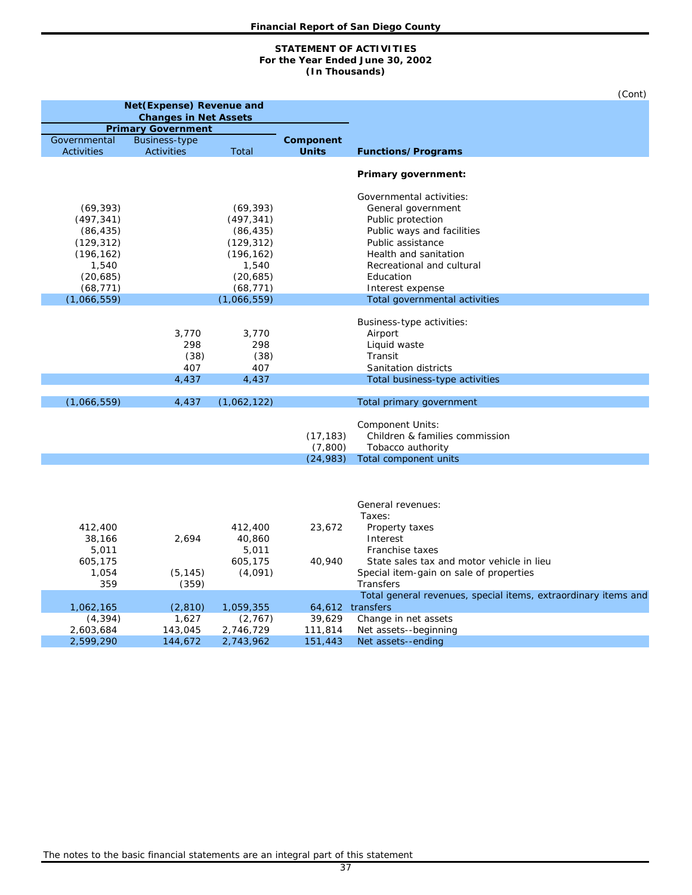#### **(In Thousands) STATEMENT OF ACTIVITIES For the Year Ended June 30, 2002**

|                         |                                                   |                         |              | (Cont)                                                                             |
|-------------------------|---------------------------------------------------|-------------------------|--------------|------------------------------------------------------------------------------------|
|                         | Net (Expense) Revenue and                         |                         |              |                                                                                    |
|                         | <b>Changes in Net Assets</b>                      |                         |              |                                                                                    |
| Governmental            | <b>Primary Government</b><br><b>Business-type</b> |                         | Component    |                                                                                    |
| <b>Activities</b>       | <b>Activities</b>                                 | Total                   | <b>Units</b> | <b>Functions/Programs</b>                                                          |
|                         |                                                   |                         |              | Primary government:                                                                |
|                         |                                                   |                         |              |                                                                                    |
|                         |                                                   |                         |              | Governmental activities:                                                           |
| (69, 393)<br>(497, 341) |                                                   | (69, 393)<br>(497, 341) |              | General government<br>Public protection                                            |
| (86, 435)               |                                                   | (86, 435)               |              | Public ways and facilities                                                         |
| (129, 312)              |                                                   | (129, 312)              |              | Public assistance                                                                  |
| (196, 162)              |                                                   | (196, 162)              |              | Health and sanitation                                                              |
| 1,540                   |                                                   | 1,540                   |              | Recreational and cultural                                                          |
| (20, 685)               |                                                   | (20, 685)               |              | Education                                                                          |
| (68, 771)               |                                                   | (68, 771)               |              | Interest expense                                                                   |
| (1,066,559)             |                                                   | (1,066,559)             |              | Total governmental activities                                                      |
|                         |                                                   |                         |              |                                                                                    |
|                         |                                                   |                         |              | Business-type activities:                                                          |
|                         | 3,770                                             | 3,770                   |              | Airport                                                                            |
|                         | 298                                               | 298                     |              | Liquid waste                                                                       |
|                         | (38)                                              | (38)                    |              | Transit                                                                            |
|                         | 407                                               | 407                     |              | Sanitation districts                                                               |
|                         | 4,437                                             | 4,437                   |              | Total business-type activities                                                     |
|                         |                                                   |                         |              |                                                                                    |
| (1,066,559)             | 4,437                                             | (1,062,122)             |              | Total primary government                                                           |
|                         |                                                   |                         |              | Component Units:                                                                   |
|                         |                                                   |                         | (17, 183)    | Children & families commission                                                     |
|                         |                                                   |                         | (7,800)      | Tobacco authority                                                                  |
|                         |                                                   |                         | (24, 983)    | Total component units                                                              |
|                         |                                                   |                         |              |                                                                                    |
|                         |                                                   |                         |              |                                                                                    |
|                         |                                                   |                         |              |                                                                                    |
|                         |                                                   |                         |              | General revenues:                                                                  |
|                         |                                                   |                         |              | Taxes:                                                                             |
| 412,400                 |                                                   | 412,400                 | 23,672       | Property taxes                                                                     |
| 38,166                  | 2,694                                             | 40,860                  |              | Interest                                                                           |
| 5,011                   |                                                   | 5,011                   |              | Franchise taxes                                                                    |
| 605,175                 |                                                   | 605,175                 | 40,940       | State sales tax and motor vehicle in lieu                                          |
| 1,054                   | (5, 145)                                          | (4,091)                 |              | Special item-gain on sale of properties                                            |
| 359                     | (359)                                             |                         |              | <b>Transfers</b>                                                                   |
| 1,062,165               |                                                   |                         |              | Total general revenues, special items, extraordinary items and<br>64,612 transfers |
| (4, 394)                | (2, 810)<br>1,627                                 | 1,059,355<br>(2,767)    | 39,629       | Change in net assets                                                               |
| 2,603,684               | 143,045                                           | 2,746,729               | 111,814      | Net assets--beginning                                                              |
| 2,599,290               | 144,672                                           | 2,743,962               | 151,443      | Net assets--ending                                                                 |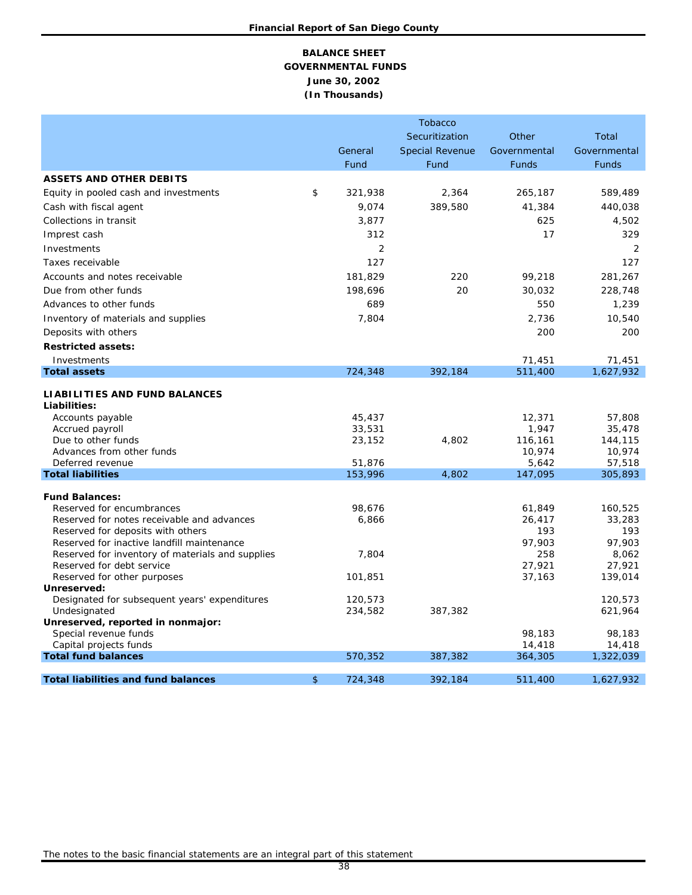## **BALANCE SHEET GOVERNMENTAL FUNDS June 30, 2002 (In Thousands)**

|                                                                                 |               | <b>Tobacco</b>         |                   |                   |
|---------------------------------------------------------------------------------|---------------|------------------------|-------------------|-------------------|
|                                                                                 |               | Securitization         | Other             | Total             |
|                                                                                 | General       | <b>Special Revenue</b> | Governmental      | Governmental      |
|                                                                                 | Fund          | Fund                   | <b>Funds</b>      | <b>Funds</b>      |
| <b>ASSETS AND OTHER DEBITS</b>                                                  |               |                        |                   |                   |
| Equity in pooled cash and investments                                           | \$<br>321,938 | 2,364                  | 265,187           | 589,489           |
| Cash with fiscal agent                                                          | 9,074         | 389,580                | 41,384            | 440,038           |
| Collections in transit                                                          | 3,877         |                        | 625               |                   |
|                                                                                 |               |                        |                   | 4,502             |
| Imprest cash                                                                    | 312           |                        | 17                | 329               |
| Investments                                                                     | 2             |                        |                   | 2                 |
| Taxes receivable                                                                | 127           |                        |                   | 127               |
| Accounts and notes receivable                                                   | 181,829       | 220                    | 99,218            | 281,267           |
| Due from other funds                                                            | 198,696       | 20                     | 30,032            | 228,748           |
| Advances to other funds                                                         | 689           |                        | 550               | 1,239             |
| Inventory of materials and supplies                                             | 7,804         |                        | 2,736             | 10,540            |
| Deposits with others                                                            |               |                        | 200               | 200               |
| <b>Restricted assets:</b>                                                       |               |                        |                   |                   |
| Investments                                                                     |               |                        | 71,451            | 71,451            |
| <b>Total assets</b>                                                             | 724,348       | 392,184                | 511,400           | 1,627,932         |
|                                                                                 |               |                        |                   |                   |
| <b>LIABILITIES AND FUND BALANCES</b>                                            |               |                        |                   |                   |
| Liabilities:                                                                    |               |                        |                   |                   |
| Accounts payable                                                                | 45,437        |                        | 12,371            | 57,808            |
| Accrued payroll                                                                 | 33,531        |                        | 1,947             | 35,478            |
| Due to other funds<br>Advances from other funds                                 | 23,152        | 4,802                  | 116,161<br>10,974 | 144,115<br>10,974 |
| Deferred revenue                                                                | 51,876        |                        | 5,642             | 57,518            |
| <b>Total liabilities</b>                                                        | 153,996       | 4,802                  | 147,095           | 305,893           |
|                                                                                 |               |                        |                   |                   |
| <b>Fund Balances:</b>                                                           |               |                        |                   |                   |
| Reserved for encumbrances                                                       | 98,676        |                        | 61,849            | 160,525           |
| Reserved for notes receivable and advances                                      | 6,866         |                        | 26,417<br>193     | 33,283<br>193     |
| Reserved for deposits with others<br>Reserved for inactive landfill maintenance |               |                        | 97,903            | 97,903            |
| Reserved for inventory of materials and supplies                                | 7,804         |                        | 258               | 8,062             |
| Reserved for debt service                                                       |               |                        | 27,921            | 27,921            |
| Reserved for other purposes                                                     | 101,851       |                        | 37,163            | 139,014           |
| Unreserved:                                                                     |               |                        |                   |                   |
| Designated for subsequent years' expenditures                                   | 120,573       |                        |                   | 120,573           |
| Undesignated                                                                    | 234,582       | 387,382                |                   | 621,964           |
| Unreserved, reported in nonmajor:                                               |               |                        |                   |                   |
| Special revenue funds<br>Capital projects funds                                 |               |                        | 98,183<br>14,418  | 98,183<br>14,418  |
| <b>Total fund balances</b>                                                      | 570,352       | 387,382                | 364,305           | 1,322,039         |
|                                                                                 |               |                        |                   |                   |
| <b>Total liabilities and fund balances</b>                                      | \$<br>724,348 | 392,184                | 511,400           | 1,627,932         |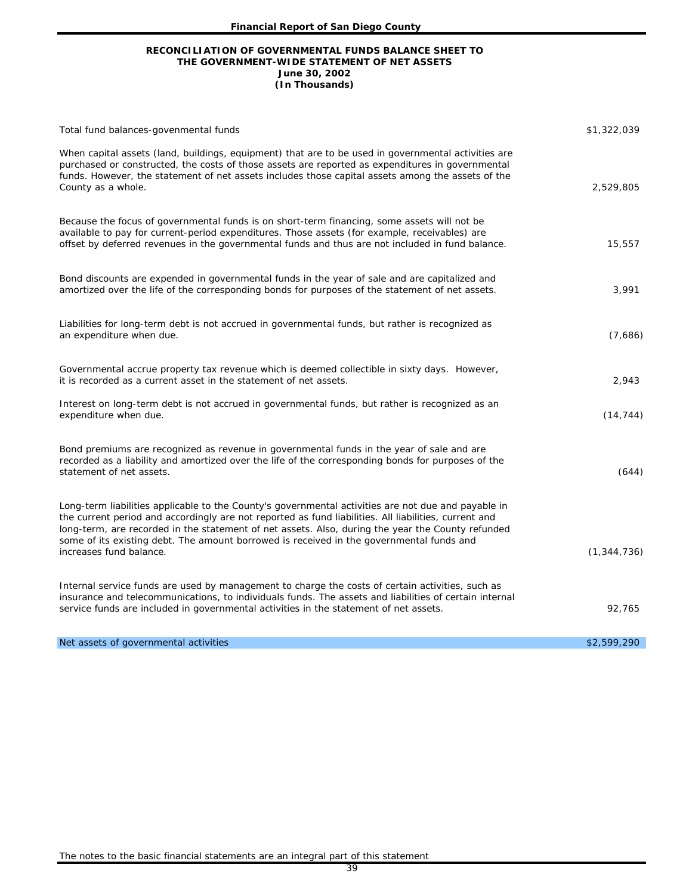#### **RECONCILIATION OF GOVERNMENTAL FUNDS BALANCE SHEET TO THE GOVERNMENT-WIDE STATEMENT OF NET ASSETS June 30, 2002 (In Thousands)**

| Total fund balances-govenmental funds                                                                                                                                                                                                                                                                                                                                                                                                    | \$1,322,039   |
|------------------------------------------------------------------------------------------------------------------------------------------------------------------------------------------------------------------------------------------------------------------------------------------------------------------------------------------------------------------------------------------------------------------------------------------|---------------|
| When capital assets (land, buildings, equipment) that are to be used in governmental activities are<br>purchased or constructed, the costs of those assets are reported as expenditures in governmental<br>funds. However, the statement of net assets includes those capital assets among the assets of the<br>County as a whole.                                                                                                       | 2,529,805     |
| Because the focus of governmental funds is on short-term financing, some assets will not be<br>available to pay for current-period expenditures. Those assets (for example, receivables) are<br>offset by deferred revenues in the governmental funds and thus are not included in fund balance.                                                                                                                                         | 15,557        |
| Bond discounts are expended in governmental funds in the year of sale and are capitalized and<br>amortized over the life of the corresponding bonds for purposes of the statement of net assets.                                                                                                                                                                                                                                         | 3,991         |
| Liabilities for long-term debt is not accrued in governmental funds, but rather is recognized as<br>an expenditure when due.                                                                                                                                                                                                                                                                                                             | (7,686)       |
| Governmental accrue property tax revenue which is deemed collectible in sixty days. However,<br>it is recorded as a current asset in the statement of net assets.                                                                                                                                                                                                                                                                        | 2,943         |
| Interest on long-term debt is not accrued in governmental funds, but rather is recognized as an<br>expenditure when due.                                                                                                                                                                                                                                                                                                                 | (14, 744)     |
| Bond premiums are recognized as revenue in governmental funds in the year of sale and are<br>recorded as a liability and amortized over the life of the corresponding bonds for purposes of the<br>statement of net assets.                                                                                                                                                                                                              | (644)         |
| Long-term liabilities applicable to the County's governmental activities are not due and payable in<br>the current period and accordingly are not reported as fund liabilities. All liabilities, current and<br>long-term, are recorded in the statement of net assets. Also, during the year the County refunded<br>some of its existing debt. The amount borrowed is received in the governmental funds and<br>increases fund balance. | (1, 344, 736) |
| Internal service funds are used by management to charge the costs of certain activities, such as<br>insurance and telecommunications, to individuals funds. The assets and liabilities of certain internal<br>service funds are included in governmental activities in the statement of net assets.                                                                                                                                      | 92,765        |
| Net assets of governmental activities                                                                                                                                                                                                                                                                                                                                                                                                    | \$2,599,290   |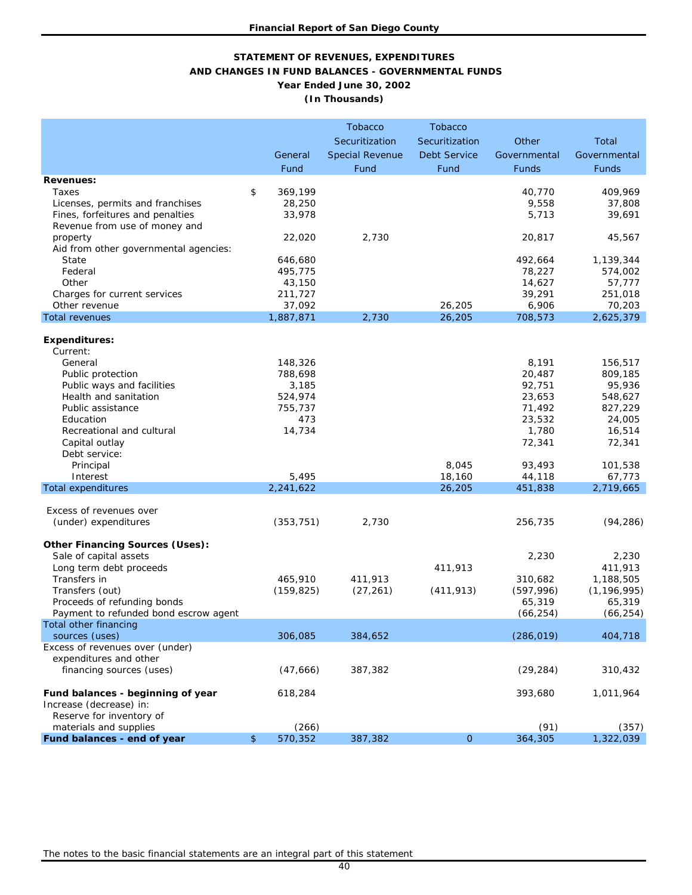### **STATEMENT OF REVENUES, EXPENDITURES AND CHANGES IN FUND BALANCES - GOVERNMENTAL FUNDS Year Ended June 30, 2002 (In Thousands)**

|                                                                  |                    | <b>Tobacco</b>         | <b>Tobacco</b>      |                 |                    |
|------------------------------------------------------------------|--------------------|------------------------|---------------------|-----------------|--------------------|
|                                                                  |                    | Securitization         | Securitization      | Other           | Total              |
|                                                                  | General            | <b>Special Revenue</b> | <b>Debt Service</b> | Governmental    | Governmental       |
|                                                                  | Fund               | Fund                   | Fund                | Funds           | <b>Funds</b>       |
| <b>Revenues:</b>                                                 |                    |                        |                     |                 |                    |
| Taxes                                                            | \$<br>369,199      |                        |                     | 40,770          | 409,969            |
| Licenses, permits and franchises                                 | 28,250             |                        |                     | 9,558           | 37,808             |
| Fines, forfeitures and penalties                                 | 33,978             |                        |                     | 5,713           | 39,691             |
| Revenue from use of money and                                    |                    |                        |                     |                 |                    |
| property                                                         | 22,020             | 2,730                  |                     | 20,817          | 45,567             |
| Aid from other governmental agencies:                            |                    |                        |                     |                 |                    |
| State                                                            | 646,680            |                        |                     | 492,664         | 1,139,344          |
| Federal                                                          | 495,775            |                        |                     | 78,227          | 574,002            |
| Other                                                            | 43,150             |                        |                     | 14,627          | 57,777             |
| Charges for current services                                     | 211,727            |                        |                     | 39,291          | 251,018            |
| Other revenue                                                    | 37,092             |                        | 26,205              | 6,906           | 70,203             |
| <b>Total revenues</b>                                            | 1,887,871          | 2,730                  | 26,205              | 708,573         | 2,625,379          |
|                                                                  |                    |                        |                     |                 |                    |
| <b>Expenditures:</b>                                             |                    |                        |                     |                 |                    |
| Current:                                                         |                    |                        |                     |                 |                    |
| General<br>Public protection                                     | 148,326<br>788,698 |                        |                     | 8,191<br>20,487 | 156,517<br>809,185 |
| Public ways and facilities                                       | 3,185              |                        |                     | 92,751          | 95,936             |
| Health and sanitation                                            | 524,974            |                        |                     | 23,653          | 548,627            |
| Public assistance                                                | 755,737            |                        |                     | 71,492          | 827,229            |
| Education                                                        | 473                |                        |                     | 23,532          | 24,005             |
| Recreational and cultural                                        | 14,734             |                        |                     | 1,780           | 16,514             |
| Capital outlay                                                   |                    |                        |                     | 72,341          | 72,341             |
| Debt service:                                                    |                    |                        |                     |                 |                    |
| Principal                                                        |                    |                        | 8,045               | 93,493          | 101,538            |
| Interest                                                         | 5,495              |                        | 18,160              | 44,118          | 67,773             |
| <b>Total expenditures</b>                                        | 2,241,622          |                        | 26,205              | 451,838         | 2,719,665          |
|                                                                  |                    |                        |                     |                 |                    |
| Excess of revenues over                                          |                    |                        |                     |                 |                    |
| (under) expenditures                                             | (353, 751)         | 2,730                  |                     | 256,735         | (94, 286)          |
|                                                                  |                    |                        |                     |                 |                    |
| <b>Other Financing Sources (Uses):</b><br>Sale of capital assets |                    |                        |                     | 2,230           | 2,230              |
| Long term debt proceeds                                          |                    |                        | 411,913             |                 | 411,913            |
| Transfers in                                                     | 465,910            | 411,913                |                     | 310,682         | 1,188,505          |
| Transfers (out)                                                  | (159, 825)         | (27, 261)              | (411, 913)          | (597, 996)      | (1, 196, 995)      |
| Proceeds of refunding bonds                                      |                    |                        |                     | 65,319          | 65,319             |
| Payment to refunded bond escrow agent                            |                    |                        |                     | (66, 254)       | (66, 254)          |
| Total other financing                                            |                    |                        |                     |                 |                    |
| sources (uses)                                                   | 306,085            | 384,652                |                     | (286, 019)      | 404,718            |
| Excess of revenues over (under)                                  |                    |                        |                     |                 |                    |
| expenditures and other                                           |                    |                        |                     |                 |                    |
| financing sources (uses)                                         | (47,666)           | 387,382                |                     | (29, 284)       | 310,432            |
|                                                                  |                    |                        |                     |                 |                    |
| Fund balances - beginning of year                                | 618,284            |                        |                     | 393,680         | 1,011,964          |
| Increase (decrease) in:                                          |                    |                        |                     |                 |                    |
| Reserve for inventory of<br>materials and supplies               | (266)              |                        |                     | (91)            | (357)              |
| Fund balances - end of year                                      | \$<br>570,352      | 387,382                | $\overline{O}$      | 364,305         | 1,322,039          |
|                                                                  |                    |                        |                     |                 |                    |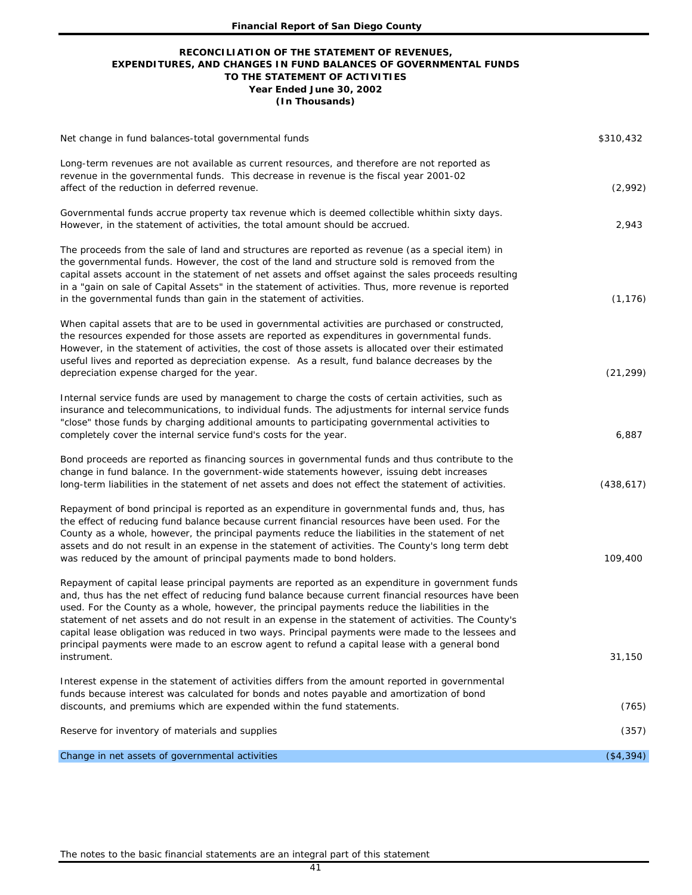#### **Year Ended June 30, 2002 (In Thousands) RECONCILIATION OF THE STATEMENT OF REVENUES, EXPENDITURES, AND CHANGES IN FUND BALANCES OF GOVERNMENTAL FUNDS TO THE STATEMENT OF ACTIVITIES**

| Net change in fund balances-total governmental funds                                                                                                                                                                                                                                                                                                                                                                                                                                                                                                                                                                    | \$310,432  |
|-------------------------------------------------------------------------------------------------------------------------------------------------------------------------------------------------------------------------------------------------------------------------------------------------------------------------------------------------------------------------------------------------------------------------------------------------------------------------------------------------------------------------------------------------------------------------------------------------------------------------|------------|
| Long-term revenues are not available as current resources, and therefore are not reported as<br>revenue in the governmental funds. This decrease in revenue is the fiscal year 2001-02<br>affect of the reduction in deferred revenue.                                                                                                                                                                                                                                                                                                                                                                                  | (2,992)    |
| Governmental funds accrue property tax revenue which is deemed collectible whithin sixty days.<br>However, in the statement of activities, the total amount should be accrued.                                                                                                                                                                                                                                                                                                                                                                                                                                          | 2,943      |
| The proceeds from the sale of land and structures are reported as revenue (as a special item) in<br>the governmental funds. However, the cost of the land and structure sold is removed from the<br>capital assets account in the statement of net assets and offset against the sales proceeds resulting<br>in a "gain on sale of Capital Assets" in the statement of activities. Thus, more revenue is reported<br>in the governmental funds than gain in the statement of activities.                                                                                                                                | (1, 176)   |
| When capital assets that are to be used in governmental activities are purchased or constructed,<br>the resources expended for those assets are reported as expenditures in governmental funds.<br>However, in the statement of activities, the cost of those assets is allocated over their estimated<br>useful lives and reported as depreciation expense. As a result, fund balance decreases by the<br>depreciation expense charged for the year.                                                                                                                                                                   | (21, 299)  |
| Internal service funds are used by management to charge the costs of certain activities, such as<br>insurance and telecommunications, to individual funds. The adjustments for internal service funds<br>"close" those funds by charging additional amounts to participating governmental activities to<br>completely cover the internal service fund's costs for the year.                                                                                                                                                                                                                                             | 6,887      |
| Bond proceeds are reported as financing sources in governmental funds and thus contribute to the<br>change in fund balance. In the government-wide statements however, issuing debt increases<br>long-term liabilities in the statement of net assets and does not effect the statement of activities.                                                                                                                                                                                                                                                                                                                  | (438, 617) |
| Repayment of bond principal is reported as an expenditure in governmental funds and, thus, has<br>the effect of reducing fund balance because current financial resources have been used. For the<br>County as a whole, however, the principal payments reduce the liabilities in the statement of net<br>assets and do not result in an expense in the statement of activities. The County's long term debt<br>was reduced by the amount of principal payments made to bond holders.                                                                                                                                   | 109,400    |
| Repayment of capital lease principal payments are reported as an expenditure in government funds<br>and, thus has the net effect of reducing fund balance because current financial resources have been<br>used. For the County as a whole, however, the principal payments reduce the liabilities in the<br>statement of net assets and do not result in an expense in the statement of activities. The County's<br>capital lease obligation was reduced in two ways. Principal payments were made to the lessees and<br>principal payments were made to an escrow agent to refund a capital lease with a general bond | 31,150     |
| instrument.<br>Interest expense in the statement of activities differs from the amount reported in governmental                                                                                                                                                                                                                                                                                                                                                                                                                                                                                                         |            |
| funds because interest was calculated for bonds and notes payable and amortization of bond<br>discounts, and premiums which are expended within the fund statements.                                                                                                                                                                                                                                                                                                                                                                                                                                                    | (765)      |
| Reserve for inventory of materials and supplies                                                                                                                                                                                                                                                                                                                                                                                                                                                                                                                                                                         | (357)      |
| Change in net assets of governmental activities                                                                                                                                                                                                                                                                                                                                                                                                                                                                                                                                                                         | (\$4,394)  |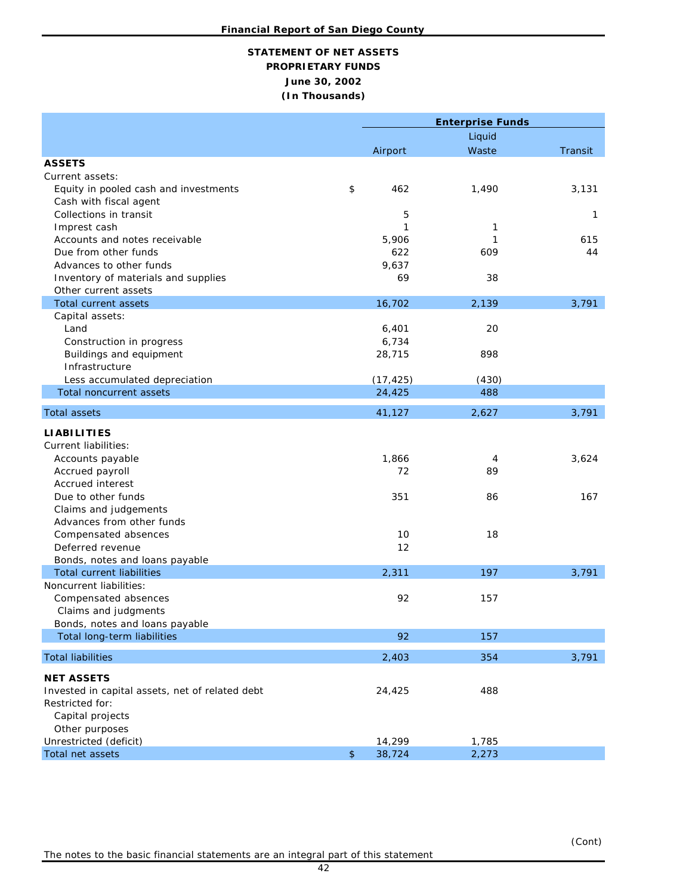# **June 30, 2002 (In Thousands) STATEMENT OF NET ASSETS PROPRIETARY FUNDS**

|                                                 |               | <b>Enterprise Funds</b> |        |         |  |  |
|-------------------------------------------------|---------------|-------------------------|--------|---------|--|--|
|                                                 |               |                         | Liquid |         |  |  |
|                                                 |               | Airport                 | Waste  | Transit |  |  |
| <b>ASSETS</b>                                   |               |                         |        |         |  |  |
| Current assets:                                 |               |                         |        |         |  |  |
| Equity in pooled cash and investments           | \$            | 462                     | 1,490  | 3,131   |  |  |
| Cash with fiscal agent                          |               |                         |        |         |  |  |
| Collections in transit                          |               | 5                       |        | 1       |  |  |
| Imprest cash                                    |               | 1                       | 1      |         |  |  |
| Accounts and notes receivable                   |               | 5,906                   | 1      | 615     |  |  |
| Due from other funds                            |               | 622                     | 609    | 44      |  |  |
| Advances to other funds                         |               | 9,637                   |        |         |  |  |
| Inventory of materials and supplies             |               | 69                      | 38     |         |  |  |
| Other current assets                            |               |                         |        |         |  |  |
| <b>Total current assets</b>                     |               | 16,702                  | 2,139  | 3,791   |  |  |
| Capital assets:                                 |               |                         |        |         |  |  |
| Land                                            |               | 6,401                   | 20     |         |  |  |
| Construction in progress                        |               | 6,734                   |        |         |  |  |
| Buildings and equipment                         |               | 28,715                  | 898    |         |  |  |
| Infrastructure                                  |               |                         |        |         |  |  |
| Less accumulated depreciation                   |               | (17, 425)               | (430)  |         |  |  |
| <b>Total noncurrent assets</b>                  |               | 24,425                  | 488    |         |  |  |
| <b>Total assets</b>                             |               | 41,127                  | 2,627  | 3,791   |  |  |
| <b>LIABILITIES</b>                              |               |                         |        |         |  |  |
| <b>Current liabilities:</b>                     |               |                         |        |         |  |  |
| Accounts payable                                |               | 1,866                   | 4      | 3,624   |  |  |
| Accrued payroll                                 |               | 72                      | 89     |         |  |  |
| <b>Accrued interest</b>                         |               |                         |        |         |  |  |
| Due to other funds                              |               | 351                     | 86     | 167     |  |  |
| Claims and judgements                           |               |                         |        |         |  |  |
| Advances from other funds                       |               |                         |        |         |  |  |
| Compensated absences                            |               | 10                      | 18     |         |  |  |
| Deferred revenue                                |               | 12                      |        |         |  |  |
| Bonds, notes and loans payable                  |               |                         |        |         |  |  |
| <b>Total current liabilities</b>                |               | 2,311                   | 197    | 3,791   |  |  |
| Noncurrent liabilities:                         |               |                         |        |         |  |  |
| Compensated absences                            |               | 92                      | 157    |         |  |  |
| Claims and judgments                            |               |                         |        |         |  |  |
| Bonds, notes and loans payable                  |               |                         |        |         |  |  |
| Total long-term liabilities                     |               | 92                      | 157    |         |  |  |
| <b>Total liabilities</b>                        |               | 2,403                   | 354    | 3,791   |  |  |
| <b>NET ASSETS</b>                               |               |                         |        |         |  |  |
| Invested in capital assets, net of related debt |               | 24,425                  | 488    |         |  |  |
| Restricted for:                                 |               |                         |        |         |  |  |
| Capital projects                                |               |                         |        |         |  |  |
| Other purposes                                  |               |                         |        |         |  |  |
| Unrestricted (deficit)                          |               | 14,299                  | 1,785  |         |  |  |
| Total net assets                                | $\frac{1}{2}$ | 38,724                  | 2,273  |         |  |  |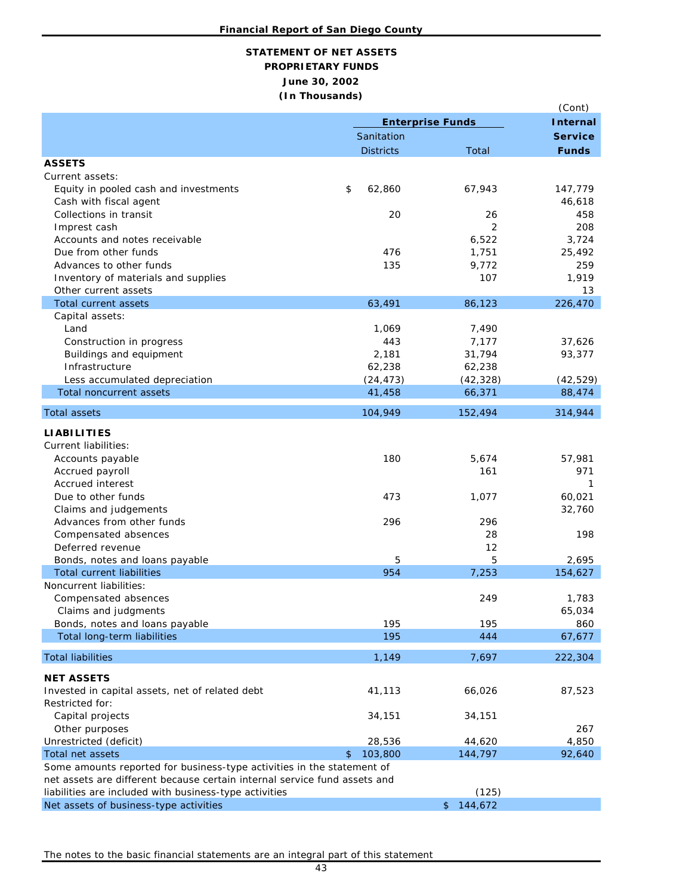# **June 30, 2002 (In Thousands) STATEMENT OF NET ASSETS PROPRIETARY FUNDS**

|                                                                           |                         |                 | (Cont)         |
|---------------------------------------------------------------------------|-------------------------|-----------------|----------------|
|                                                                           | <b>Enterprise Funds</b> | <b>Internal</b> |                |
|                                                                           | Sanitation              |                 | <b>Service</b> |
|                                                                           | <b>Districts</b>        | Total           | <b>Funds</b>   |
| <b>ASSETS</b>                                                             |                         |                 |                |
| Current assets:                                                           |                         |                 |                |
| Equity in pooled cash and investments                                     | \$<br>62,860            | 67,943          | 147,779        |
| Cash with fiscal agent                                                    |                         |                 | 46,618         |
| Collections in transit                                                    | 20                      | 26              | 458            |
| Imprest cash                                                              |                         | 2               | 208            |
| Accounts and notes receivable                                             |                         | 6,522           | 3,724          |
| Due from other funds                                                      | 476                     | 1,751           | 25,492         |
| Advances to other funds                                                   | 135                     | 9,772           | 259            |
| Inventory of materials and supplies                                       |                         | 107             | 1,919          |
| Other current assets                                                      |                         |                 | 13             |
| Total current assets                                                      | 63,491                  | 86,123          | 226,470        |
| Capital assets:                                                           |                         |                 |                |
| Land                                                                      | 1,069                   | 7,490           |                |
| Construction in progress                                                  | 443                     | 7,177           | 37,626         |
| Buildings and equipment                                                   | 2,181                   | 31,794          | 93,377         |
| Infrastructure                                                            | 62,238                  | 62,238          |                |
| Less accumulated depreciation                                             | (24, 473)               | (42, 328)       | (42, 529)      |
| Total noncurrent assets                                                   | 41,458                  | 66,371          | 88,474         |
| <b>Total assets</b>                                                       | 104,949                 | 152,494         | 314,944        |
|                                                                           |                         |                 |                |
| <b>LIABILITIES</b>                                                        |                         |                 |                |
| <b>Current liabilities:</b>                                               |                         |                 |                |
| Accounts payable                                                          | 180                     | 5,674           | 57,981         |
| Accrued payroll<br>Accrued interest                                       |                         | 161             | 971<br>1       |
|                                                                           |                         |                 |                |
| Due to other funds                                                        | 473                     | 1,077           | 60,021         |
| Claims and judgements<br>Advances from other funds                        | 296                     | 296             | 32,760         |
|                                                                           |                         | 28              | 198            |
| Compensated absences<br>Deferred revenue                                  |                         | 12              |                |
| Bonds, notes and loans payable                                            | 5                       | 5               | 2,695          |
| Total current liabilities                                                 | 954                     | 7,253           | 154,627        |
| Noncurrent liabilities:                                                   |                         |                 |                |
| Compensated absences                                                      |                         | 249             | 1,783          |
| Claims and judgments                                                      |                         |                 | 65,034         |
| Bonds, notes and loans payable                                            | 195                     | 195             | 860            |
| Total long-term liabilities                                               | 195                     | 444             | 67,677         |
|                                                                           |                         |                 |                |
| <b>Total liabilities</b>                                                  | 1,149                   | 7,697           | 222,304        |
| <b>NET ASSETS</b>                                                         |                         |                 |                |
| Invested in capital assets, net of related debt                           | 41,113                  | 66,026          | 87,523         |
| Restricted for:                                                           |                         |                 |                |
| Capital projects                                                          | 34,151                  | 34,151          |                |
| Other purposes                                                            |                         |                 | 267            |
| Unrestricted (deficit)                                                    | 28,536                  | 44,620          | 4,850          |
| Total net assets                                                          | 103,800<br>\$           | 144,797         | 92,640         |
| Some amounts reported for business-type activities in the statement of    |                         |                 |                |
| net assets are different because certain internal service fund assets and |                         |                 |                |
| liabilities are included with business-type activities                    |                         | (125)           |                |
| Net assets of business-type activities                                    |                         | 144,672<br>\$   |                |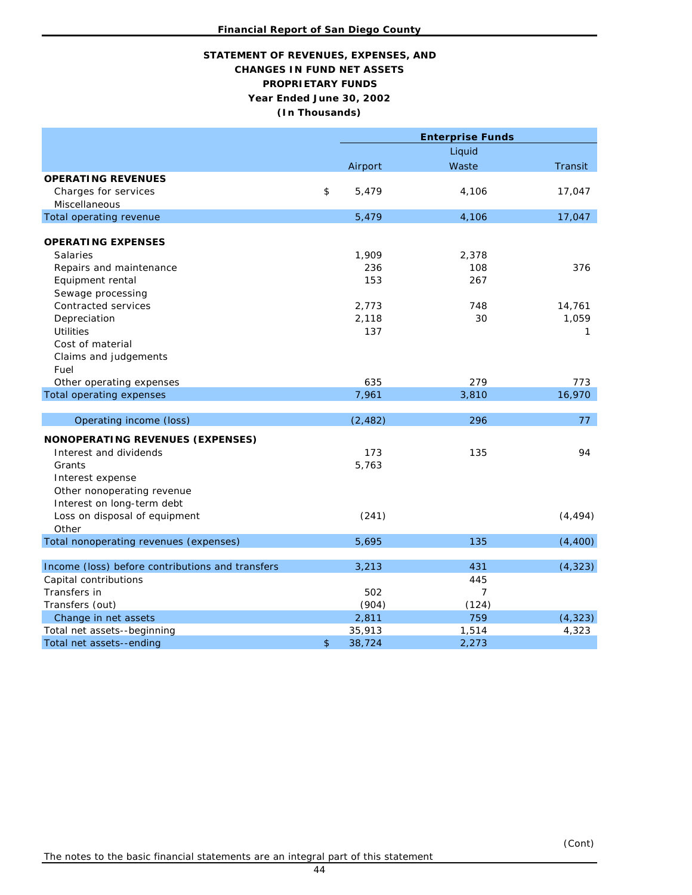## **PROPRIETARY FUNDS Year Ended June 30, 2002 STATEMENT OF REVENUES, EXPENSES, AND CHANGES IN FUND NET ASSETS (In Thousands)**

|                                                          |              | <b>Enterprise Funds</b> |          |
|----------------------------------------------------------|--------------|-------------------------|----------|
|                                                          |              | Liquid                  |          |
|                                                          | Airport      | Waste                   | Transit  |
| <b>OPERATING REVENUES</b>                                |              |                         |          |
| Charges for services                                     | \$<br>5,479  | 4,106                   | 17,047   |
| Miscellaneous                                            |              |                         |          |
| Total operating revenue                                  | 5,479        | 4,106                   | 17,047   |
|                                                          |              |                         |          |
| <b>OPERATING EXPENSES</b>                                |              |                         |          |
| <b>Salaries</b>                                          | 1,909        | 2,378                   |          |
| Repairs and maintenance                                  | 236          | 108                     | 376      |
| Equipment rental                                         | 153          | 267                     |          |
| Sewage processing                                        |              |                         |          |
| Contracted services                                      | 2,773        | 748                     | 14,761   |
| Depreciation                                             | 2,118        | 30                      | 1,059    |
| <b>Utilities</b>                                         | 137          |                         | 1        |
| Cost of material                                         |              |                         |          |
| Claims and judgements                                    |              |                         |          |
| Fuel                                                     |              |                         |          |
| Other operating expenses                                 | 635          | 279                     | 773      |
| Total operating expenses                                 | 7,961        | 3,810                   | 16,970   |
| Operating income (loss)                                  | (2, 482)     | 296                     | 77       |
| NONOPERATING REVENUES (EXPENSES)                         |              |                         |          |
| Interest and dividends                                   | 173          | 135                     | 94       |
| Grants                                                   | 5,763        |                         |          |
| Interest expense                                         |              |                         |          |
|                                                          |              |                         |          |
| Other nonoperating revenue<br>Interest on long-term debt |              |                         |          |
|                                                          | (241)        |                         | (4, 494) |
| Loss on disposal of equipment<br>Other                   |              |                         |          |
| Total nonoperating revenues (expenses)                   | 5,695        | 135                     | (4, 400) |
|                                                          |              |                         |          |
| Income (loss) before contributions and transfers         | 3,213        | 431                     | (4, 323) |
| Capital contributions                                    |              | 445                     |          |
| Transfers in                                             | 502          | $\overline{7}$          |          |
| Transfers (out)                                          | (904)        | (124)                   |          |
| Change in net assets                                     | 2,811        | 759                     | (4, 323) |
| Total net assets--beginning                              | 35,913       | 1,514                   | 4,323    |
| Total net assets--ending                                 | \$<br>38,724 | 2,273                   |          |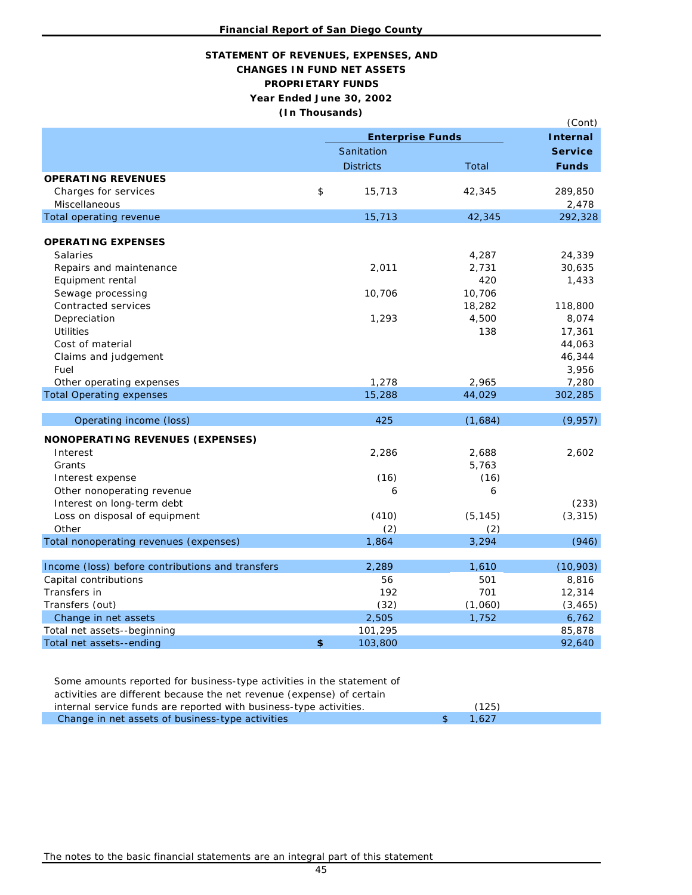# **STATEMENT OF REVENUES, EXPENSES, AND CHANGES IN FUND NET ASSETS PROPRIETARY FUNDS Year Ended June 30, 2002 (In Thousands)**

|                                                  |                         |          | (Cont)         |
|--------------------------------------------------|-------------------------|----------|----------------|
|                                                  | <b>Enterprise Funds</b> |          |                |
|                                                  | Sanitation              |          | <b>Service</b> |
|                                                  | <b>Districts</b>        | Total    | <b>Funds</b>   |
| <b>OPERATING REVENUES</b>                        |                         |          |                |
| Charges for services                             | \$<br>15,713            | 42,345   | 289,850        |
| Miscellaneous                                    |                         |          | 2,478          |
| Total operating revenue                          | 15,713                  | 42,345   | 292,328        |
|                                                  |                         |          |                |
| <b>OPERATING EXPENSES</b>                        |                         |          |                |
| <b>Salaries</b>                                  |                         | 4,287    | 24,339         |
| Repairs and maintenance                          | 2,011                   | 2,731    | 30,635         |
| Equipment rental                                 |                         | 420      | 1,433          |
| Sewage processing                                | 10,706                  | 10,706   |                |
| Contracted services                              |                         | 18,282   | 118,800        |
| Depreciation                                     | 1,293                   | 4,500    | 8,074          |
| <b>Utilities</b>                                 |                         | 138      | 17,361         |
| Cost of material                                 |                         |          | 44,063         |
| Claims and judgement                             |                         |          | 46,344         |
| Fuel                                             |                         |          | 3,956          |
| Other operating expenses                         | 1,278                   | 2,965    | 7,280          |
| <b>Total Operating expenses</b>                  | 15,288                  | 44,029   | 302,285        |
| Operating income (loss)                          | 425                     | (1,684)  | (9, 957)       |
| NONOPERATING REVENUES (EXPENSES)                 |                         |          |                |
| Interest                                         | 2,286                   | 2,688    | 2,602          |
| Grants                                           |                         | 5,763    |                |
| Interest expense                                 | (16)                    | (16)     |                |
| Other nonoperating revenue                       | 6                       | 6        |                |
| Interest on long-term debt                       |                         |          | (233)          |
| Loss on disposal of equipment                    | (410)                   | (5, 145) | (3, 315)       |
| Other                                            | (2)                     | (2)      |                |
| Total nonoperating revenues (expenses)           | 1,864                   | 3,294    | (946)          |
|                                                  |                         |          |                |
| Income (loss) before contributions and transfers | 2,289                   | 1,610    | (10, 903)      |
| Capital contributions                            | 56                      | 501      | 8,816          |
| Transfers in                                     | 192                     | 701      | 12,314         |
| Transfers (out)                                  | (32)                    | (1,060)  | (3, 465)       |
| Change in net assets                             | 2,505                   | 1,752    | 6,762          |
| Total net assets--beginning                      | 101,295                 |          | 85,878         |
| Total net assets--ending                         | \$<br>103,800           |          | 92,640         |

| Some amounts reported for business-type activities in the statement of |       |  |
|------------------------------------------------------------------------|-------|--|
| activities are different because the net revenue (expense) of certain  |       |  |
| internal service funds are reported with business-type activities.     | (125) |  |
| Change in net assets of business-type activities                       | 1.627 |  |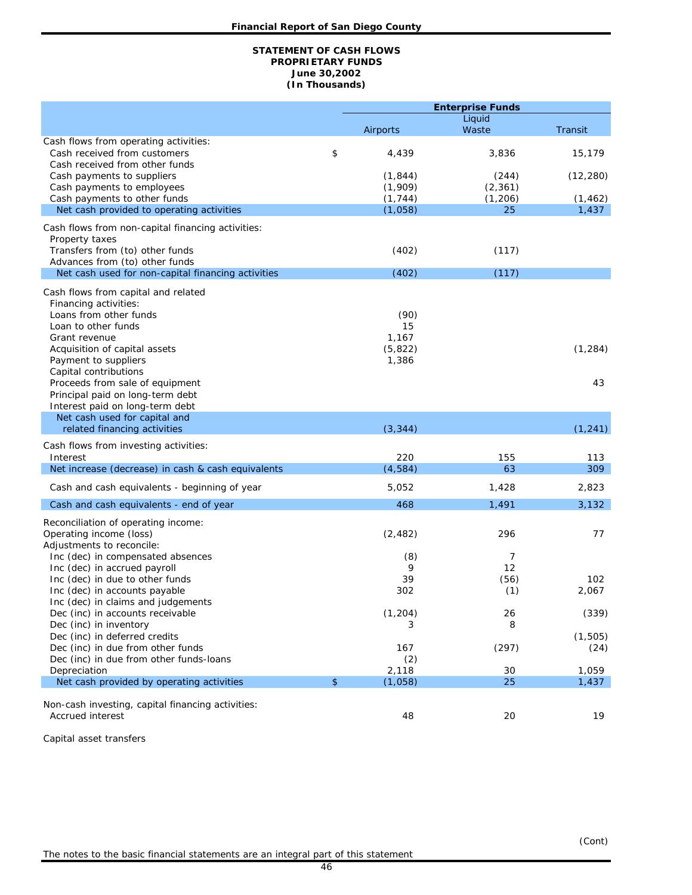#### **(In Thousands) STATEMENT OF CASH FLOWS PROPRIETARY FUNDS June 30,2002**

| Airports<br>Waste<br>Transit<br>Cash flows from operating activities:<br>\$<br>3,836<br>Cash received from customers<br>4,439<br>15,179<br>Cash received from other funds<br>(1, 844)<br>(12, 280)<br>Cash payments to suppliers<br>(244)<br>(1,909)<br>Cash payments to employees<br>(2, 361)<br>(1, 744)<br>(1, 462)<br>Cash payments to other funds<br>(1, 206)<br>Net cash provided to operating activities<br>(1,058)<br>25<br>1,437<br>Cash flows from non-capital financing activities:<br>Property taxes<br>Transfers from (to) other funds<br>(402)<br>(117)<br>Advances from (to) other funds<br>(402)<br>(117)<br>Net cash used for non-capital financing activities<br>Cash flows from capital and related<br>Financing activities:<br>Loans from other funds<br>(90)<br>Loan to other funds<br>15<br>1,167<br>Grant revenue<br>(1, 284)<br>Acquisition of capital assets<br>(5,822)<br>Payment to suppliers<br>1,386<br>Capital contributions<br>Proceeds from sale of equipment<br>43<br>Principal paid on long-term debt<br>Interest paid on long-term debt<br>Net cash used for capital and<br>related financing activities<br>(3, 344)<br>(1, 241)<br>Cash flows from investing activities:<br>220<br>Interest<br>155<br>113<br>Net increase (decrease) in cash & cash equivalents<br>(4,584)<br>63<br>309<br>5,052<br>1,428<br>2,823<br>Cash and cash equivalents - beginning of year<br>3,132<br>468<br>1,491<br>Cash and cash equivalents - end of year<br>Reconciliation of operating income:<br>Operating income (loss)<br>(2, 482)<br>296<br>77<br>Adjustments to reconcile:<br>Inc (dec) in compensated absences<br>(8)<br>7<br>12<br>Inc (dec) in accrued payroll<br>9<br>39<br>Inc (dec) in due to other funds<br>(56)<br>102<br>2,067<br>Inc (dec) in accounts payable<br>302<br>(1)<br>Inc (dec) in claims and judgements<br>(1, 204)<br>Dec (inc) in accounts receivable<br>26<br>(339)<br>Dec (inc) in inventory<br>8<br>3<br>Dec (inc) in deferred credits<br>(1, 505)<br>Dec (inc) in due from other funds<br>(297)<br>167<br>(24)<br>(2)<br>Dec (inc) in due from other funds-loans<br>Depreciation<br>2,118<br>30<br>1,059<br>Net cash provided by operating activities<br>$\mathfrak{S}$<br>25<br>(1,058)<br>1,437<br>Non-cash investing, capital financing activities:<br>Accrued interest<br>48<br>20<br>19 |  | <b>Enterprise Funds</b> |        |  |  |
|--------------------------------------------------------------------------------------------------------------------------------------------------------------------------------------------------------------------------------------------------------------------------------------------------------------------------------------------------------------------------------------------------------------------------------------------------------------------------------------------------------------------------------------------------------------------------------------------------------------------------------------------------------------------------------------------------------------------------------------------------------------------------------------------------------------------------------------------------------------------------------------------------------------------------------------------------------------------------------------------------------------------------------------------------------------------------------------------------------------------------------------------------------------------------------------------------------------------------------------------------------------------------------------------------------------------------------------------------------------------------------------------------------------------------------------------------------------------------------------------------------------------------------------------------------------------------------------------------------------------------------------------------------------------------------------------------------------------------------------------------------------------------------------------------------------------------------------------------------------------------------------------------------------------------------------------------------------------------------------------------------------------------------------------------------------------------------------------------------------------------------------------------------------------------------------------------------------------------------------------------------------------------------------------------------------------------------------------------|--|-------------------------|--------|--|--|
|                                                                                                                                                                                                                                                                                                                                                                                                                                                                                                                                                                                                                                                                                                                                                                                                                                                                                                                                                                                                                                                                                                                                                                                                                                                                                                                                                                                                                                                                                                                                                                                                                                                                                                                                                                                                                                                                                                                                                                                                                                                                                                                                                                                                                                                                                                                                                  |  |                         | Liquid |  |  |
|                                                                                                                                                                                                                                                                                                                                                                                                                                                                                                                                                                                                                                                                                                                                                                                                                                                                                                                                                                                                                                                                                                                                                                                                                                                                                                                                                                                                                                                                                                                                                                                                                                                                                                                                                                                                                                                                                                                                                                                                                                                                                                                                                                                                                                                                                                                                                  |  |                         |        |  |  |
|                                                                                                                                                                                                                                                                                                                                                                                                                                                                                                                                                                                                                                                                                                                                                                                                                                                                                                                                                                                                                                                                                                                                                                                                                                                                                                                                                                                                                                                                                                                                                                                                                                                                                                                                                                                                                                                                                                                                                                                                                                                                                                                                                                                                                                                                                                                                                  |  |                         |        |  |  |
|                                                                                                                                                                                                                                                                                                                                                                                                                                                                                                                                                                                                                                                                                                                                                                                                                                                                                                                                                                                                                                                                                                                                                                                                                                                                                                                                                                                                                                                                                                                                                                                                                                                                                                                                                                                                                                                                                                                                                                                                                                                                                                                                                                                                                                                                                                                                                  |  |                         |        |  |  |
|                                                                                                                                                                                                                                                                                                                                                                                                                                                                                                                                                                                                                                                                                                                                                                                                                                                                                                                                                                                                                                                                                                                                                                                                                                                                                                                                                                                                                                                                                                                                                                                                                                                                                                                                                                                                                                                                                                                                                                                                                                                                                                                                                                                                                                                                                                                                                  |  |                         |        |  |  |
|                                                                                                                                                                                                                                                                                                                                                                                                                                                                                                                                                                                                                                                                                                                                                                                                                                                                                                                                                                                                                                                                                                                                                                                                                                                                                                                                                                                                                                                                                                                                                                                                                                                                                                                                                                                                                                                                                                                                                                                                                                                                                                                                                                                                                                                                                                                                                  |  |                         |        |  |  |
|                                                                                                                                                                                                                                                                                                                                                                                                                                                                                                                                                                                                                                                                                                                                                                                                                                                                                                                                                                                                                                                                                                                                                                                                                                                                                                                                                                                                                                                                                                                                                                                                                                                                                                                                                                                                                                                                                                                                                                                                                                                                                                                                                                                                                                                                                                                                                  |  |                         |        |  |  |
|                                                                                                                                                                                                                                                                                                                                                                                                                                                                                                                                                                                                                                                                                                                                                                                                                                                                                                                                                                                                                                                                                                                                                                                                                                                                                                                                                                                                                                                                                                                                                                                                                                                                                                                                                                                                                                                                                                                                                                                                                                                                                                                                                                                                                                                                                                                                                  |  |                         |        |  |  |
|                                                                                                                                                                                                                                                                                                                                                                                                                                                                                                                                                                                                                                                                                                                                                                                                                                                                                                                                                                                                                                                                                                                                                                                                                                                                                                                                                                                                                                                                                                                                                                                                                                                                                                                                                                                                                                                                                                                                                                                                                                                                                                                                                                                                                                                                                                                                                  |  |                         |        |  |  |
|                                                                                                                                                                                                                                                                                                                                                                                                                                                                                                                                                                                                                                                                                                                                                                                                                                                                                                                                                                                                                                                                                                                                                                                                                                                                                                                                                                                                                                                                                                                                                                                                                                                                                                                                                                                                                                                                                                                                                                                                                                                                                                                                                                                                                                                                                                                                                  |  |                         |        |  |  |
|                                                                                                                                                                                                                                                                                                                                                                                                                                                                                                                                                                                                                                                                                                                                                                                                                                                                                                                                                                                                                                                                                                                                                                                                                                                                                                                                                                                                                                                                                                                                                                                                                                                                                                                                                                                                                                                                                                                                                                                                                                                                                                                                                                                                                                                                                                                                                  |  |                         |        |  |  |
|                                                                                                                                                                                                                                                                                                                                                                                                                                                                                                                                                                                                                                                                                                                                                                                                                                                                                                                                                                                                                                                                                                                                                                                                                                                                                                                                                                                                                                                                                                                                                                                                                                                                                                                                                                                                                                                                                                                                                                                                                                                                                                                                                                                                                                                                                                                                                  |  |                         |        |  |  |
|                                                                                                                                                                                                                                                                                                                                                                                                                                                                                                                                                                                                                                                                                                                                                                                                                                                                                                                                                                                                                                                                                                                                                                                                                                                                                                                                                                                                                                                                                                                                                                                                                                                                                                                                                                                                                                                                                                                                                                                                                                                                                                                                                                                                                                                                                                                                                  |  |                         |        |  |  |
|                                                                                                                                                                                                                                                                                                                                                                                                                                                                                                                                                                                                                                                                                                                                                                                                                                                                                                                                                                                                                                                                                                                                                                                                                                                                                                                                                                                                                                                                                                                                                                                                                                                                                                                                                                                                                                                                                                                                                                                                                                                                                                                                                                                                                                                                                                                                                  |  |                         |        |  |  |
|                                                                                                                                                                                                                                                                                                                                                                                                                                                                                                                                                                                                                                                                                                                                                                                                                                                                                                                                                                                                                                                                                                                                                                                                                                                                                                                                                                                                                                                                                                                                                                                                                                                                                                                                                                                                                                                                                                                                                                                                                                                                                                                                                                                                                                                                                                                                                  |  |                         |        |  |  |
|                                                                                                                                                                                                                                                                                                                                                                                                                                                                                                                                                                                                                                                                                                                                                                                                                                                                                                                                                                                                                                                                                                                                                                                                                                                                                                                                                                                                                                                                                                                                                                                                                                                                                                                                                                                                                                                                                                                                                                                                                                                                                                                                                                                                                                                                                                                                                  |  |                         |        |  |  |
|                                                                                                                                                                                                                                                                                                                                                                                                                                                                                                                                                                                                                                                                                                                                                                                                                                                                                                                                                                                                                                                                                                                                                                                                                                                                                                                                                                                                                                                                                                                                                                                                                                                                                                                                                                                                                                                                                                                                                                                                                                                                                                                                                                                                                                                                                                                                                  |  |                         |        |  |  |
|                                                                                                                                                                                                                                                                                                                                                                                                                                                                                                                                                                                                                                                                                                                                                                                                                                                                                                                                                                                                                                                                                                                                                                                                                                                                                                                                                                                                                                                                                                                                                                                                                                                                                                                                                                                                                                                                                                                                                                                                                                                                                                                                                                                                                                                                                                                                                  |  |                         |        |  |  |
|                                                                                                                                                                                                                                                                                                                                                                                                                                                                                                                                                                                                                                                                                                                                                                                                                                                                                                                                                                                                                                                                                                                                                                                                                                                                                                                                                                                                                                                                                                                                                                                                                                                                                                                                                                                                                                                                                                                                                                                                                                                                                                                                                                                                                                                                                                                                                  |  |                         |        |  |  |
|                                                                                                                                                                                                                                                                                                                                                                                                                                                                                                                                                                                                                                                                                                                                                                                                                                                                                                                                                                                                                                                                                                                                                                                                                                                                                                                                                                                                                                                                                                                                                                                                                                                                                                                                                                                                                                                                                                                                                                                                                                                                                                                                                                                                                                                                                                                                                  |  |                         |        |  |  |
|                                                                                                                                                                                                                                                                                                                                                                                                                                                                                                                                                                                                                                                                                                                                                                                                                                                                                                                                                                                                                                                                                                                                                                                                                                                                                                                                                                                                                                                                                                                                                                                                                                                                                                                                                                                                                                                                                                                                                                                                                                                                                                                                                                                                                                                                                                                                                  |  |                         |        |  |  |
|                                                                                                                                                                                                                                                                                                                                                                                                                                                                                                                                                                                                                                                                                                                                                                                                                                                                                                                                                                                                                                                                                                                                                                                                                                                                                                                                                                                                                                                                                                                                                                                                                                                                                                                                                                                                                                                                                                                                                                                                                                                                                                                                                                                                                                                                                                                                                  |  |                         |        |  |  |
|                                                                                                                                                                                                                                                                                                                                                                                                                                                                                                                                                                                                                                                                                                                                                                                                                                                                                                                                                                                                                                                                                                                                                                                                                                                                                                                                                                                                                                                                                                                                                                                                                                                                                                                                                                                                                                                                                                                                                                                                                                                                                                                                                                                                                                                                                                                                                  |  |                         |        |  |  |
|                                                                                                                                                                                                                                                                                                                                                                                                                                                                                                                                                                                                                                                                                                                                                                                                                                                                                                                                                                                                                                                                                                                                                                                                                                                                                                                                                                                                                                                                                                                                                                                                                                                                                                                                                                                                                                                                                                                                                                                                                                                                                                                                                                                                                                                                                                                                                  |  |                         |        |  |  |
|                                                                                                                                                                                                                                                                                                                                                                                                                                                                                                                                                                                                                                                                                                                                                                                                                                                                                                                                                                                                                                                                                                                                                                                                                                                                                                                                                                                                                                                                                                                                                                                                                                                                                                                                                                                                                                                                                                                                                                                                                                                                                                                                                                                                                                                                                                                                                  |  |                         |        |  |  |
|                                                                                                                                                                                                                                                                                                                                                                                                                                                                                                                                                                                                                                                                                                                                                                                                                                                                                                                                                                                                                                                                                                                                                                                                                                                                                                                                                                                                                                                                                                                                                                                                                                                                                                                                                                                                                                                                                                                                                                                                                                                                                                                                                                                                                                                                                                                                                  |  |                         |        |  |  |
|                                                                                                                                                                                                                                                                                                                                                                                                                                                                                                                                                                                                                                                                                                                                                                                                                                                                                                                                                                                                                                                                                                                                                                                                                                                                                                                                                                                                                                                                                                                                                                                                                                                                                                                                                                                                                                                                                                                                                                                                                                                                                                                                                                                                                                                                                                                                                  |  |                         |        |  |  |
|                                                                                                                                                                                                                                                                                                                                                                                                                                                                                                                                                                                                                                                                                                                                                                                                                                                                                                                                                                                                                                                                                                                                                                                                                                                                                                                                                                                                                                                                                                                                                                                                                                                                                                                                                                                                                                                                                                                                                                                                                                                                                                                                                                                                                                                                                                                                                  |  |                         |        |  |  |
|                                                                                                                                                                                                                                                                                                                                                                                                                                                                                                                                                                                                                                                                                                                                                                                                                                                                                                                                                                                                                                                                                                                                                                                                                                                                                                                                                                                                                                                                                                                                                                                                                                                                                                                                                                                                                                                                                                                                                                                                                                                                                                                                                                                                                                                                                                                                                  |  |                         |        |  |  |
|                                                                                                                                                                                                                                                                                                                                                                                                                                                                                                                                                                                                                                                                                                                                                                                                                                                                                                                                                                                                                                                                                                                                                                                                                                                                                                                                                                                                                                                                                                                                                                                                                                                                                                                                                                                                                                                                                                                                                                                                                                                                                                                                                                                                                                                                                                                                                  |  |                         |        |  |  |
|                                                                                                                                                                                                                                                                                                                                                                                                                                                                                                                                                                                                                                                                                                                                                                                                                                                                                                                                                                                                                                                                                                                                                                                                                                                                                                                                                                                                                                                                                                                                                                                                                                                                                                                                                                                                                                                                                                                                                                                                                                                                                                                                                                                                                                                                                                                                                  |  |                         |        |  |  |
|                                                                                                                                                                                                                                                                                                                                                                                                                                                                                                                                                                                                                                                                                                                                                                                                                                                                                                                                                                                                                                                                                                                                                                                                                                                                                                                                                                                                                                                                                                                                                                                                                                                                                                                                                                                                                                                                                                                                                                                                                                                                                                                                                                                                                                                                                                                                                  |  |                         |        |  |  |
|                                                                                                                                                                                                                                                                                                                                                                                                                                                                                                                                                                                                                                                                                                                                                                                                                                                                                                                                                                                                                                                                                                                                                                                                                                                                                                                                                                                                                                                                                                                                                                                                                                                                                                                                                                                                                                                                                                                                                                                                                                                                                                                                                                                                                                                                                                                                                  |  |                         |        |  |  |
|                                                                                                                                                                                                                                                                                                                                                                                                                                                                                                                                                                                                                                                                                                                                                                                                                                                                                                                                                                                                                                                                                                                                                                                                                                                                                                                                                                                                                                                                                                                                                                                                                                                                                                                                                                                                                                                                                                                                                                                                                                                                                                                                                                                                                                                                                                                                                  |  |                         |        |  |  |
|                                                                                                                                                                                                                                                                                                                                                                                                                                                                                                                                                                                                                                                                                                                                                                                                                                                                                                                                                                                                                                                                                                                                                                                                                                                                                                                                                                                                                                                                                                                                                                                                                                                                                                                                                                                                                                                                                                                                                                                                                                                                                                                                                                                                                                                                                                                                                  |  |                         |        |  |  |
|                                                                                                                                                                                                                                                                                                                                                                                                                                                                                                                                                                                                                                                                                                                                                                                                                                                                                                                                                                                                                                                                                                                                                                                                                                                                                                                                                                                                                                                                                                                                                                                                                                                                                                                                                                                                                                                                                                                                                                                                                                                                                                                                                                                                                                                                                                                                                  |  |                         |        |  |  |
|                                                                                                                                                                                                                                                                                                                                                                                                                                                                                                                                                                                                                                                                                                                                                                                                                                                                                                                                                                                                                                                                                                                                                                                                                                                                                                                                                                                                                                                                                                                                                                                                                                                                                                                                                                                                                                                                                                                                                                                                                                                                                                                                                                                                                                                                                                                                                  |  |                         |        |  |  |
|                                                                                                                                                                                                                                                                                                                                                                                                                                                                                                                                                                                                                                                                                                                                                                                                                                                                                                                                                                                                                                                                                                                                                                                                                                                                                                                                                                                                                                                                                                                                                                                                                                                                                                                                                                                                                                                                                                                                                                                                                                                                                                                                                                                                                                                                                                                                                  |  |                         |        |  |  |
|                                                                                                                                                                                                                                                                                                                                                                                                                                                                                                                                                                                                                                                                                                                                                                                                                                                                                                                                                                                                                                                                                                                                                                                                                                                                                                                                                                                                                                                                                                                                                                                                                                                                                                                                                                                                                                                                                                                                                                                                                                                                                                                                                                                                                                                                                                                                                  |  |                         |        |  |  |

Capital asset transfers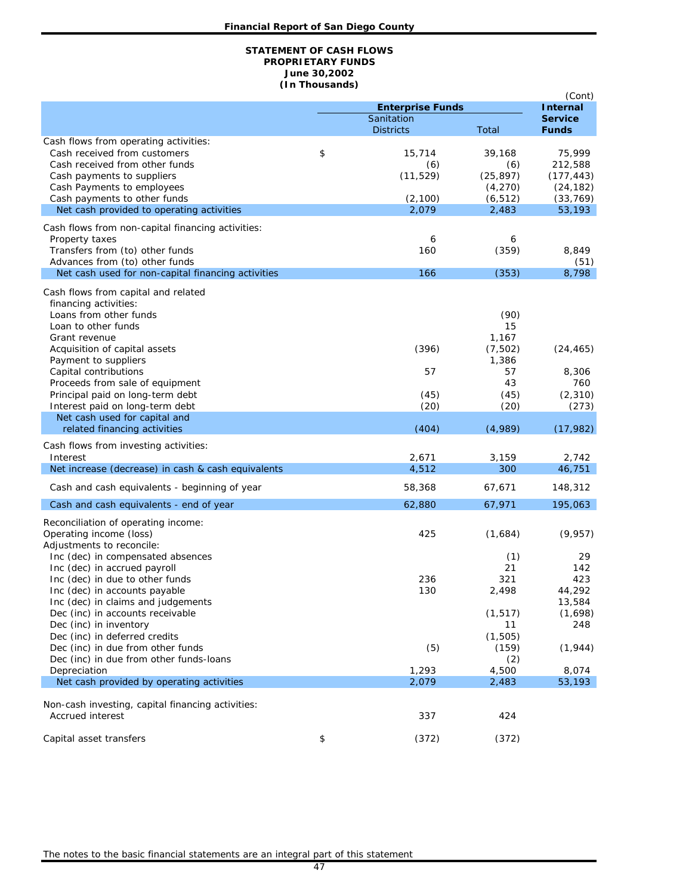#### **STATEMENT OF CASH FLOWS PROPRIETARY FUNDS June 30,2002 (In Thousands)**

|                                                                     |                                |                   | (Cont)                         |
|---------------------------------------------------------------------|--------------------------------|-------------------|--------------------------------|
|                                                                     | <b>Enterprise Funds</b>        |                   | <b>Internal</b>                |
|                                                                     | Sanitation<br><b>Districts</b> | Total             | <b>Service</b><br><b>Funds</b> |
| Cash flows from operating activities:                               |                                |                   |                                |
| Cash received from customers                                        | \$<br>15,714                   | 39,168            | 75,999                         |
| Cash received from other funds                                      | (6)                            | (6)               | 212,588                        |
| Cash payments to suppliers                                          | (11, 529)                      | (25, 897)         | (177, 443)                     |
| Cash Payments to employees                                          |                                | (4,270)           | (24, 182)                      |
| Cash payments to other funds                                        | (2,100)<br>2,079               | (6, 512)<br>2,483 | (33, 769)                      |
| Net cash provided to operating activities                           |                                |                   | 53,193                         |
| Cash flows from non-capital financing activities:                   |                                |                   |                                |
| Property taxes                                                      | 6                              | 6                 |                                |
| Transfers from (to) other funds<br>Advances from (to) other funds   | 160                            | (359)             | 8,849<br>(51)                  |
| Net cash used for non-capital financing activities                  | 166                            | (353)             | 8,798                          |
|                                                                     |                                |                   |                                |
| Cash flows from capital and related                                 |                                |                   |                                |
| financing activities:<br>Loans from other funds                     |                                | (90)              |                                |
| Loan to other funds                                                 |                                | 15                |                                |
| Grant revenue                                                       |                                | 1,167             |                                |
| Acquisition of capital assets                                       | (396)                          | (7, 502)          | (24, 465)                      |
| Payment to suppliers                                                |                                | 1,386             |                                |
| Capital contributions                                               | 57                             | 57                | 8,306                          |
| Proceeds from sale of equipment<br>Principal paid on long-term debt | (45)                           | 43<br>(45)        | 760<br>(2, 310)                |
| Interest paid on long-term debt                                     | (20)                           | (20)              | (273)                          |
| Net cash used for capital and                                       |                                |                   |                                |
| related financing activities                                        | (404)                          | (4,989)           | (17, 982)                      |
| Cash flows from investing activities:                               |                                |                   |                                |
| Interest                                                            | 2,671                          | 3,159             | 2,742                          |
| Net increase (decrease) in cash & cash equivalents                  | 4,512                          | 300               | 46,751                         |
| Cash and cash equivalents - beginning of year                       | 58,368                         | 67,671            | 148,312                        |
| Cash and cash equivalents - end of year                             | 62,880                         | 67,971            | 195,063                        |
| Reconciliation of operating income:                                 |                                |                   |                                |
| Operating income (loss)                                             | 425                            | (1,684)           | (9,957)                        |
| Adjustments to reconcile:                                           |                                |                   |                                |
| Inc (dec) in compensated absences                                   |                                | (1)               | 29                             |
| Inc (dec) in accrued payroll                                        |                                | 21                | 142                            |
| Inc (dec) in due to other funds<br>Inc (dec) in accounts payable    | 236<br>130                     | 321<br>2,498      | 423<br>44,292                  |
| Inc (dec) in claims and judgements                                  |                                |                   | 13,584                         |
| Dec (inc) in accounts receivable                                    |                                | (1, 517)          | (1,698)                        |
| Dec (inc) in inventory                                              |                                | 11                | 248                            |
| Dec (inc) in deferred credits                                       |                                | (1, 505)          |                                |
| Dec (inc) in due from other funds                                   | (5)                            | (159)             | (1, 944)                       |
| Dec (inc) in due from other funds-loans<br>Depreciation             | 1,293                          | (2)<br>4,500      | 8,074                          |
| Net cash provided by operating activities                           | 2,079                          | 2,483             | 53,193                         |
|                                                                     |                                |                   |                                |
| Non-cash investing, capital financing activities:                   |                                |                   |                                |
| <b>Accrued interest</b>                                             | 337                            | 424               |                                |
| Capital asset transfers                                             | \$<br>(372)                    | (372)             |                                |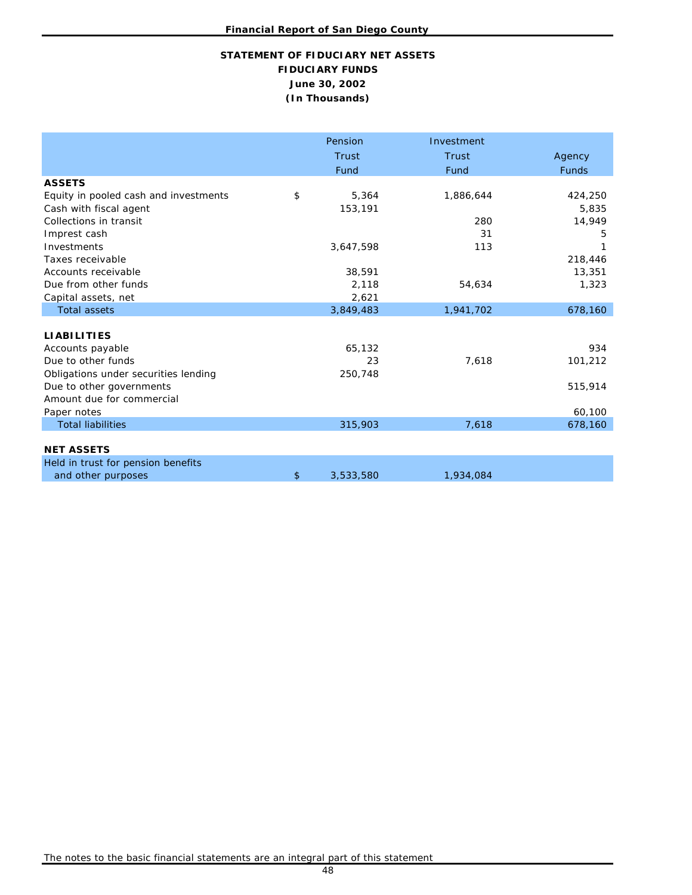# **STATEMENT OF FIDUCIARY NET ASSETS FIDUCIARY FUNDS June 30, 2002 (In Thousands)**

|                                       | Pension         | Investment |              |
|---------------------------------------|-----------------|------------|--------------|
|                                       | Trust           | Trust      | Agency       |
|                                       | Fund            | Fund       | <b>Funds</b> |
| <b>ASSETS</b>                         |                 |            |              |
| Equity in pooled cash and investments | \$<br>5,364     | 1,886,644  | 424,250      |
| Cash with fiscal agent                | 153,191         |            | 5,835        |
| Collections in transit                |                 | 280        | 14,949       |
| Imprest cash                          |                 | 31         | 5            |
| Investments                           | 3,647,598       | 113        |              |
| Taxes receivable                      |                 |            | 218,446      |
| Accounts receivable                   | 38,591          |            | 13,351       |
| Due from other funds                  | 2,118           | 54,634     | 1,323        |
| Capital assets, net                   | 2,621           |            |              |
| <b>Total assets</b>                   | 3,849,483       | 1,941,702  | 678,160      |
|                                       |                 |            |              |
| <b>LIABILITIES</b>                    |                 |            |              |
| Accounts payable                      | 65,132          |            | 934          |
| Due to other funds                    | 23              | 7,618      | 101,212      |
| Obligations under securities lending  | 250,748         |            |              |
| Due to other governments              |                 |            | 515,914      |
| Amount due for commercial             |                 |            |              |
| Paper notes                           |                 |            | 60,100       |
| <b>Total liabilities</b>              | 315,903         | 7,618      | 678,160      |
|                                       |                 |            |              |
| <b>NET ASSETS</b>                     |                 |            |              |
| Held in trust for pension benefits    |                 |            |              |
| and other purposes                    | \$<br>3,533,580 | 1,934,084  |              |